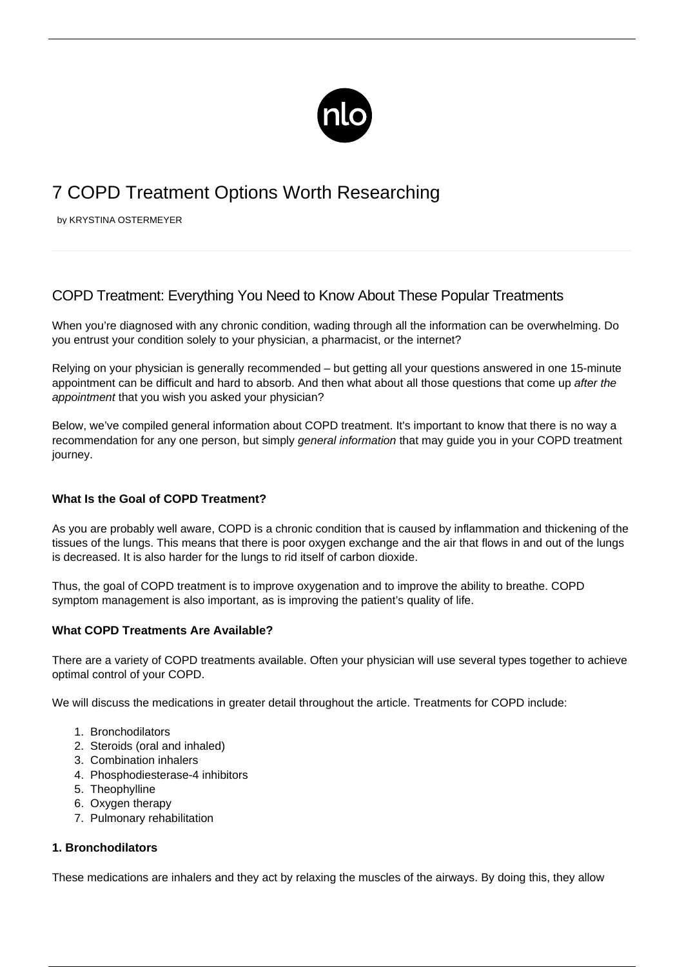

# 7 COPD Treatment Options Worth Researching

by KRYSTINA OSTERMEYER

# COPD Treatment: Everything You Need to Know About These Popular Treatments

When you're diagnosed with any chronic condition, wading through all the information can be overwhelming. Do you entrust your condition solely to your physician, a pharmacist, or the internet?

Relying on your physician is generally recommended – but getting all your questions answered in one 15-minute appointment can be difficult and hard to absorb. And then what about all those questions that come up after the appointment that you wish you asked your physician?

Below, we've compiled general information about COPD treatment. It's important to know that there is no way a recommendation for any one person, but simply general information that may guide you in your COPD treatment journey.

# **What Is the Goal of COPD Treatment?**

As you are probably well aware, [COPD is a chronic condition](/what-is-copd/) that is caused by inflammation and thickening of the tissues of the lungs. This means that there is poor oxygen exchange and the air that flows in and out of the lungs is decreased. It is also harder for the lungs to rid itself of carbon dioxide.

Thus, the goal of COPD treatment is to improve oxygenation and to improve the ability to breathe. [COPD](/copd-symptoms/) [symptom](/copd-symptoms/) management is also important, as is improving the patient's quality of life.

#### **What COPD Treatments Are Available?**

There are a variety of COPD treatments available. Often your physician will use several types together to achieve optimal control of your COPD.

We will discuss the medications in greater detail throughout the article. Treatments for COPD include:

- 1. Bronchodilators
- 2. Steroids (oral and inhaled)
- 3. Combination inhalers
- 4. Phosphodiesterase-4 inhibitors
- 5. Theophylline
- 6. Oxygen therapy
- 7. Pulmonary rehabilitation

#### **1. Bronchodilators**

These medications are inhalers and they act by relaxing the muscles of the airways. By doing this, they allow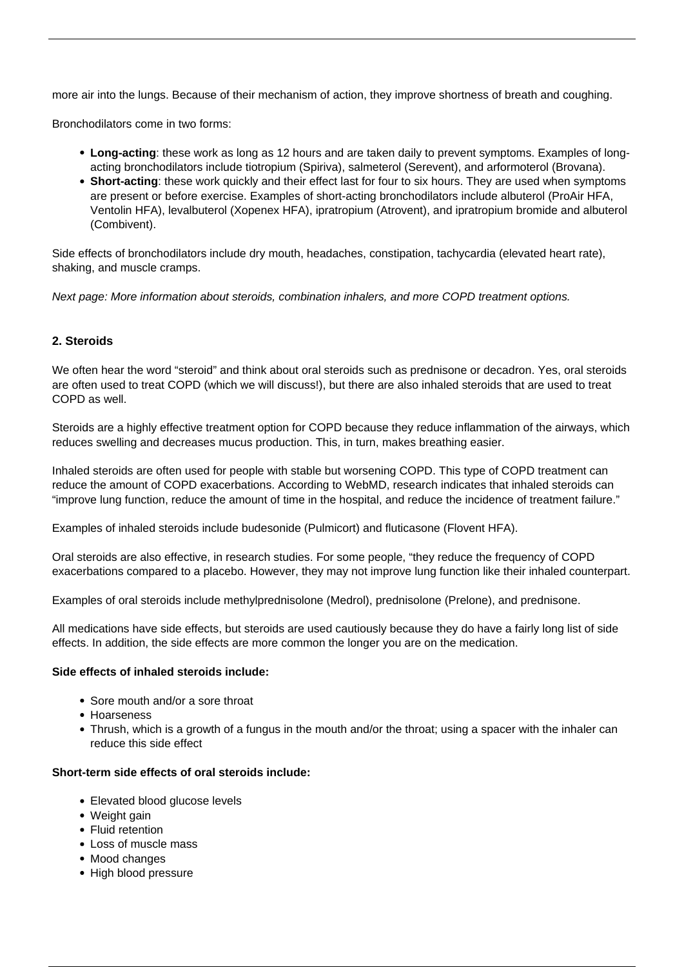more air into the lungs. Because of their mechanism of action, they improve shortness of breath and coughing.

Bronchodilators come in two forms:

- **Long-acting**: these work as long as 12 hours and are taken daily to prevent symptoms. Examples of longacting bronchodilators include tiotropium (Spiriva), salmeterol (Serevent), and arformoterol (Brovana).
- **Short-acting**: these work quickly and their effect last for four to six hours. They are used when symptoms are present or before exercise. Examples of short-acting bronchodilators include albuterol (ProAir HFA, Ventolin HFA), levalbuterol (Xopenex HFA), ipratropium (Atrovent), and ipratropium bromide and albuterol (Combivent).

Side effects of bronchodilators include dry mouth, headaches, constipation, tachycardia (elevated heart rate), shaking, and muscle cramps.

Next page: More information about steroids, combination inhalers, and more COPD treatment options.

#### **2. Steroids**

We often hear the word "steroid" and think about oral steroids such as prednisone or decadron. Yes, oral steroids are often used to treat COPD (which we will discuss!), but there are also inhaled steroids that are used to treat COPD as well.

Steroids are a highly effective treatment option for COPD because they reduce inflammation of the airways, which reduces swelling and decreases mucus production. This, in turn, makes breathing easier.

[Inhaled steroids](/using-various-inhalers/) are often used for people with stable but worsening COPD. This type of COPD treatment can reduce the amount of [COPD exacerbations.](/copd-exacerbation/) According to WebMD, research indicates that inhaled steroids can "improve lung function, reduce the amount of time in the hospital, and reduce the incidence of treatment failure."

Examples of inhaled steroids include budesonide (Pulmicort) and fluticasone (Flovent HFA).

Oral steroids are also effective, in research studies. For some people, "they reduce the frequency of COPD exacerbations compared to a placebo. However, they may not improve lung function like their inhaled counterpart.

Examples of oral steroids include methylprednisolone (Medrol), prednisolone (Prelone), and prednisone.

All medications have side effects, but steroids are used cautiously because they do have a fairly long list of side effects. In addition, the side effects are more common the longer you are on the medication.

#### **Side effects of inhaled steroids include:**

- Sore mouth and/or a sore throat
- Hoarseness
- Thrush, which is a growth of a fungus in the mouth and/or the throat; using a spacer with the inhaler can reduce this side effect

#### **Short-term side effects of oral steroids include:**

- Elevated blood glucose levels
- Weight gain
- Fluid retention
- Loss of muscle mass
- Mood changes
- High blood pressure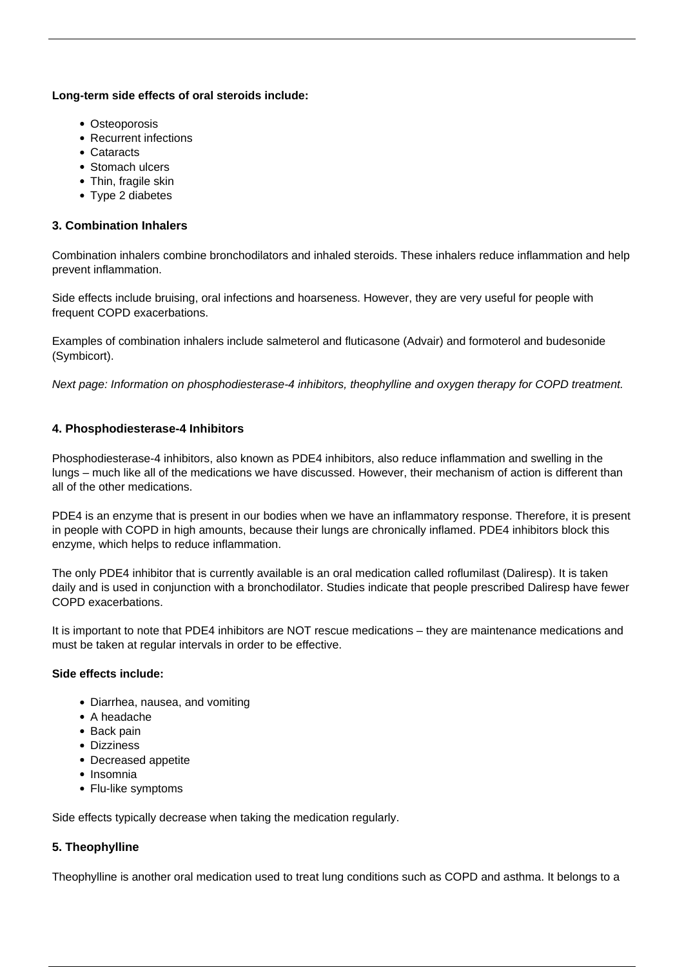#### **Long-term side effects of oral steroids include:**

- Osteoporosis
- Recurrent infections
- Cataracts
- Stomach ulcers
- Thin, fragile skin
- Type 2 diabetes

#### **3. Combination Inhalers**

Combination inhalers combine bronchodilators and inhaled steroids. These inhalers reduce inflammation and help prevent inflammation.

Side effects include bruising, oral infections and hoarseness. However, they are very useful for people with frequent COPD exacerbations.

Examples of combination inhalers include salmeterol and fluticasone (Advair) and formoterol and budesonide (Symbicort).

Next page: Information on phosphodiesterase-4 inhibitors, theophylline and oxygen therapy for COPD treatment.

# **4. Phosphodiesterase-4 Inhibitors**

Phosphodiesterase-4 inhibitors, also known as PDE4 inhibitors, also reduce inflammation and swelling in the lungs – much like all of the medications we have discussed. However, their mechanism of action is different than all of the other medications.

PDE4 is an enzyme that is present in our bodies when we have an inflammatory response. Therefore, it is present in people with COPD in high amounts, because their lungs are chronically inflamed. PDE4 inhibitors block this enzyme, which helps to reduce inflammation.

The only PDE4 inhibitor that is currently available is an oral medication called roflumilast (Daliresp). It is taken daily and is used in conjunction with a bronchodilator. Studies indicate that people prescribed Daliresp have fewer COPD exacerbations.

It is important to note that PDE4 inhibitors are NOT rescue medications – they are maintenance medications and must be taken at regular intervals in order to be effective.

#### **Side effects include:**

- Diarrhea, nausea, and vomiting
- A headache
- Back pain
- Dizziness
- Decreased appetite
- Insomnia
- Flu-like symptoms

Side effects typically decrease when taking the medication regularly.

# **5. Theophylline**

Theophylline is another oral medication used to treat lung conditions such as COPD and asthma. It belongs to a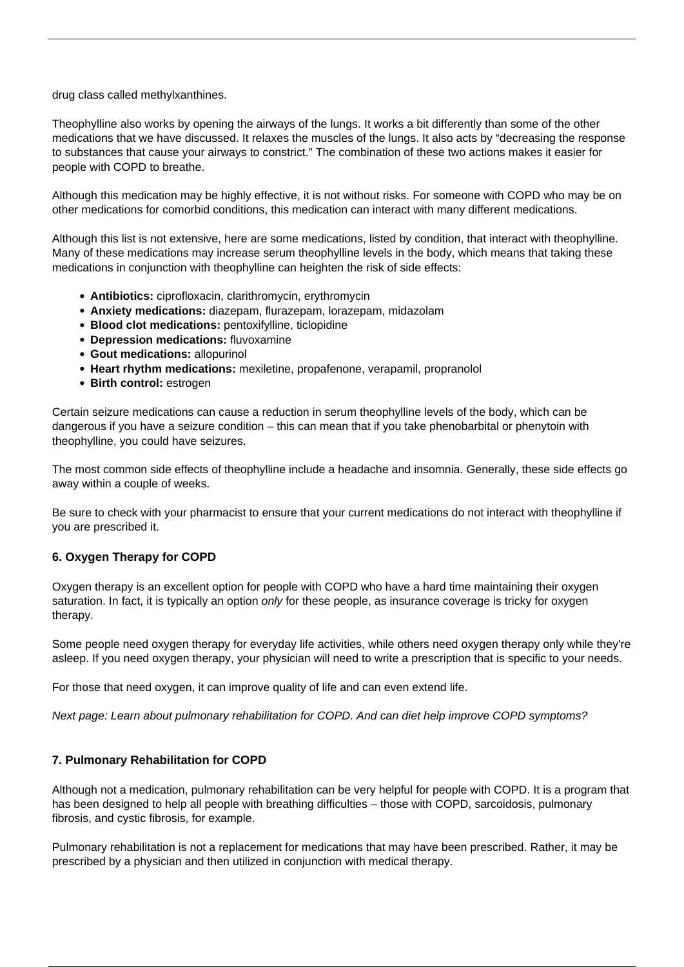drug class called methylxanthines.

Theophylline also works by opening the airways of the lungs. It works a bit differently than some of the other medications that we have discussed. It relaxes the muscles of the lungs. It also acts by "decreasing the response to substances that cause your airways to constrict." The combination of these two actions makes it easier for people with COPD to breathe.

Although this medication may be highly effective, it is not without risks. For someone with COPD who may be on other medications for comorbid conditions, this medication can interact with many different medications.

Although this list is not extensive, here are some medications, listed by condition, that interact with theophylline. Many of these medications may increase serum theophylline levels in the body, which means that taking these medications in conjunction with theophylline can heighten the risk of side effects:

- **Antibiotics:** ciprofloxacin, clarithromycin, erythromycin
- **Anxiety medications:** diazepam, flurazepam, lorazepam, midazolam
- **Blood clot medications:** pentoxifylline, ticlopidine
- **Depression medications:** fluvoxamine
- **Gout medications:** allopurinol
- **Heart rhythm medications:** mexiletine, propafenone, verapamil, propranolol
- **Birth control:** estrogen

Certain seizure medications can cause a reduction in serum theophylline levels of the body, which can be dangerous if you have a seizure condition – this can mean that if you take phenobarbital or phenytoin with theophylline, you could have seizures.

The most common side effects of theophylline include a headache and insomnia. Generally, these side effects go away within a couple of weeks.

Be sure to check with your pharmacist to ensure that your current medications do not interact with theophylline if you are prescribed it.

#### **6. Oxygen Therapy for COPD**

[Oxygen therapy](/wearing-oxygen-easily/) is an excellent option for people with COPD who have a hard time maintaining their oxygen saturation. In fact, it is typically an option only for these people, as insurance coverage is tricky for oxygen therapy.

Some people need oxygen therapy for everyday life activities, while others need oxygen therapy only while they're asleep. If you need oxygen therapy, your physician will need to write a prescription that is specific to your needs.

For those that need oxygen, it can improve quality of life and can even extend life.

Next page: Learn about pulmonary rehabilitation for COPD. And can diet help improve COPD symptoms?

#### **7. Pulmonary Rehabilitation for COPD**

Although not a medication, [pulmonary rehabilitation](/pulmonary-rehabilitation-for-copd/) can be very helpful for people with COPD. It is a program that has been designed to help all people with breathing difficulties – those with COPD, sarcoidosis, pulmonary fibrosis, and cystic fibrosis, for example.

Pulmonary rehabilitation is not a replacement for medications that may have been prescribed. Rather, it may be prescribed by a physician and then utilized in conjunction with medical therapy.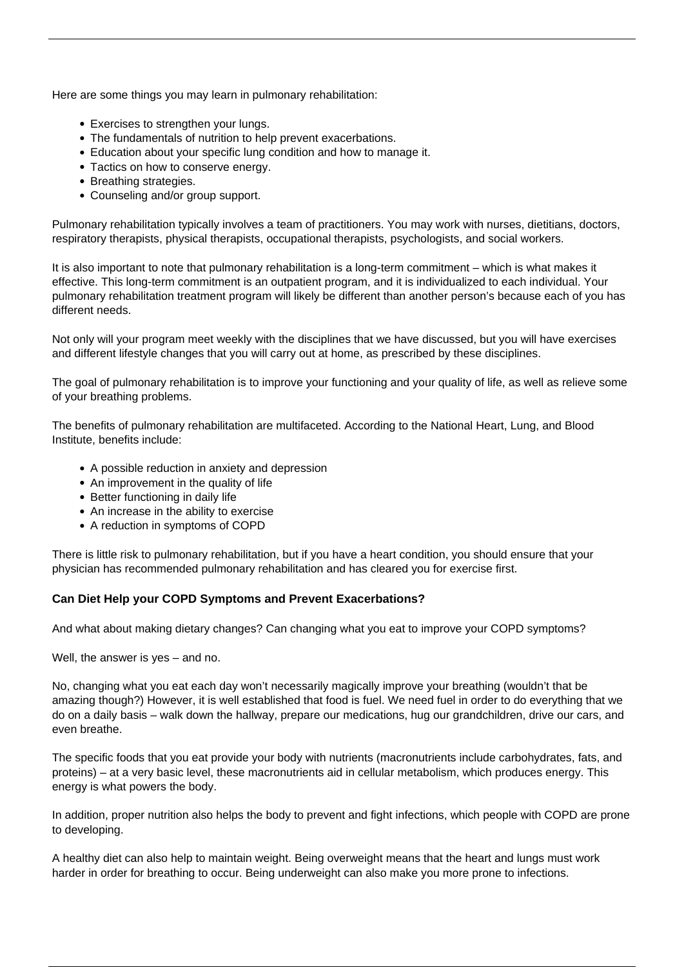Here are some things you may learn in pulmonary rehabilitation:

- Exercises to strengthen your lungs.
- The fundamentals of nutrition to help prevent exacerbations.
- Education about your specific lung condition and how to manage it.
- Tactics on how to conserve energy.
- Breathing strategies.
- Counseling and/or group support.

Pulmonary rehabilitation typically involves a team of practitioners. You may work with nurses, dietitians, doctors, respiratory therapists, physical therapists, occupational therapists, psychologists, and social workers.

It is also important to note that pulmonary rehabilitation is a long-term commitment – which is what makes it effective. This long-term commitment is an outpatient program, and it is individualized to each individual. Your pulmonary rehabilitation treatment program will likely be different than another person's because each of you has different needs.

Not only will your program meet weekly with the disciplines that we have discussed, but you will have exercises and different lifestyle changes that you will carry out at home, as prescribed by these disciplines.

The goal of pulmonary rehabilitation is to improve your functioning and your quality of life, as well as relieve some of your breathing problems.

The benefits of pulmonary rehabilitation are multifaceted. According to the National Heart, Lung, and Blood Institute, benefits include:

- A possible reduction in anxiety and depression
- An improvement in the quality of life
- Better functioning in daily life
- An increase in the ability to exercise
- A reduction in symptoms of COPD

There is little risk to pulmonary rehabilitation, but if you have a heart condition, you should ensure that your physician has recommended pulmonary rehabilitation and has cleared you for exercise first.

# **Can Diet Help your COPD Symptoms and Prevent Exacerbations?**

And what about making dietary changes? Can changing what you eat to [improve your COPD symptoms](/effective-ways-improve-copd/)?

Well, the answer is yes – and no.

No, changing what you eat each day won't necessarily magically improve your breathing (wouldn't that be amazing though?) However, it is well established that food is fuel. We need fuel in order to do everything that we do on a daily basis – walk down the hallway, prepare our medications, hug our grandchildren, drive our cars, and even breathe.

The specific foods that you eat provide your body with nutrients (macronutrients include carbohydrates, fats, and proteins) – at a very basic level, these macronutrients aid in cellular metabolism, which produces energy. This energy is what powers the body.

In addition, proper nutrition also helps the body to prevent and fight infections, which people with COPD are prone to developing.

A healthy diet can also help to maintain weight. Being overweight means that the heart and lungs must work harder in order for breathing to occur. Being underweight can also make you more prone to infections.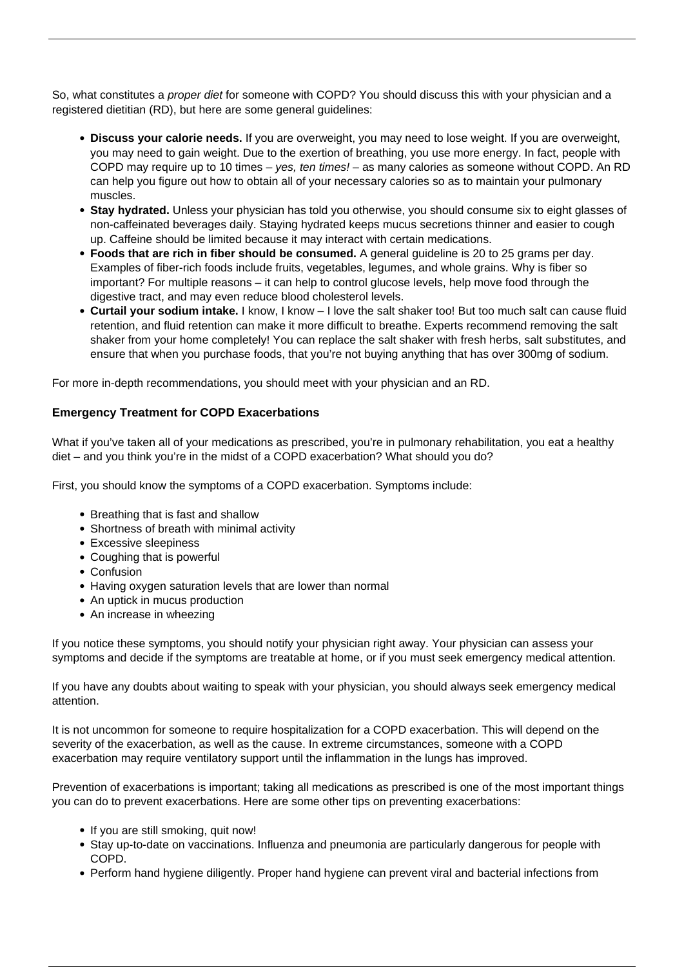So, what constitutes a *proper diet* [for someone with COPD](/copd-diet/)? You should discuss this with your physician and a registered dietitian (RD), but here are some general guidelines:

- **Discuss your calorie needs.** If you are overweight, you may need to lose weight. If you are overweight, you may need to gain weight. Due to the exertion of breathing, you use more energy. In fact, people with COPD may require up to 10 times – yes, ten times! – as many calories as someone without COPD. An RD can help you figure out how to obtain all of your necessary calories so as to maintain your pulmonary muscles.
- **Stay hydrated.** Unless your physician has told you otherwise, you should consume six to eight glasses of non-caffeinated beverages daily. Staying hydrated keeps mucus secretions thinner and easier to cough up. Caffeine should be limited because it may interact with certain medications.
- **Foods that are rich in fiber should be consumed.** A general guideline is 20 to 25 grams per day. Examples of fiber-rich foods include fruits, vegetables, legumes, and whole grains. Why is fiber so important? For multiple reasons – it can help to control glucose levels, help move food through the digestive tract, and may even reduce blood cholesterol levels.
- **Curtail your sodium intake.** I know, I know I love the salt shaker too! But too much salt can cause fluid retention, and fluid retention can make it more difficult to breathe. Experts recommend removing the salt shaker from your home completely! You can replace the salt shaker with fresh herbs, salt substitutes, and ensure that when you purchase foods, that you're not buying anything that has over 300mg of sodium.

For more in-depth recommendations, you should meet with your physician and an RD.

#### **Emergency Treatment for COPD Exacerbations**

What if you've taken all of your medications as prescribed, you're in pulmonary rehabilitation, you eat a healthy diet – and you think you're in the midst of a COPD exacerbation? What should you do?

First, you should know the symptoms of a COPD exacerbation. Symptoms include:

- Breathing that is fast and shallow
- Shortness of breath with minimal activity
- Excessive sleepiness
- Coughing that is powerful
- Confusion
- Having oxygen saturation levels that are lower than normal
- An uptick in mucus production
- An increase in wheezing

If you notice these symptoms, you should notify your physician right away. Your physician can assess your symptoms and decide if the symptoms are treatable at home, or if you must seek emergency medical attention.

If you have any doubts about waiting to speak with your physician, you should always seek emergency medical attention.

It is not uncommon for someone to require hospitalization for a COPD exacerbation. This will depend on the severity of the exacerbation, as well as the cause. In extreme circumstances, someone with a COPD exacerbation may require ventilatory support until the inflammation in the lungs has improved.

Prevention of exacerbations is important; taking all medications as prescribed is one of the most important things you can do to prevent exacerbations. Here are some other tips on preventing exacerbations:

- If you are still smoking, quit now!
- Stay up-to-date on vaccinations. Influenza and pneumonia are particularly dangerous for people with COPD.
- Perform hand hygiene diligently. Proper hand hygiene can prevent viral and bacterial infections from